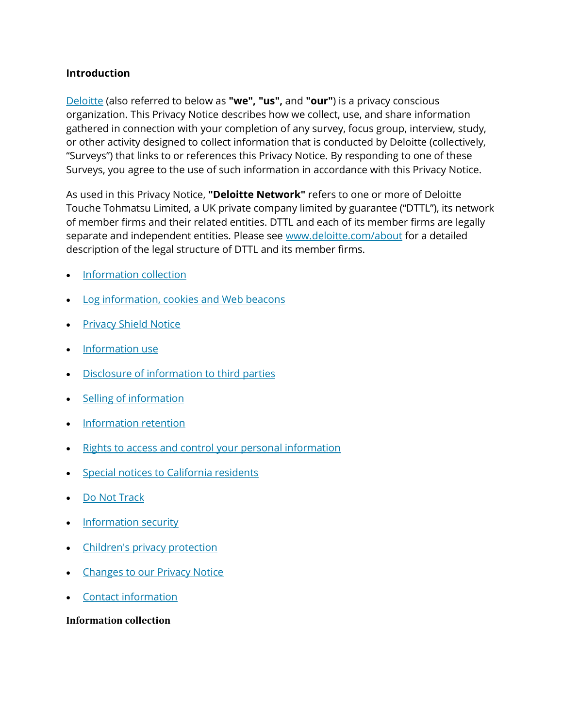### **Introduction**

[Deloitte](https://preview2.deloitte.com/us/en.html) (also referred to below as **"we", "us",** and **"our"**) is a privacy conscious organization. This Privacy Notice describes how we collect, use, and share information gathered in connection with your completion of any survey, focus group, interview, study, or other activity designed to collect information that is conducted by Deloitte (collectively, "Surveys") that links to or references this Privacy Notice. By responding to one of these Surveys, you agree to the use of such information in accordance with this Privacy Notice.

As used in this Privacy Notice, **"Deloitte Network"** refers to one or more of Deloitte Touche Tohmatsu Limited, a UK private company limited by guarantee ("DTTL"), its network of member firms and their related entities. DTTL and each of its member firms are legally separate and independent entities. Please see [www.deloitte.com/about](https://preview2.deloitte.com/content/www/us/about) for a detailed description of the legal structure of DTTL and its member firms.

- [Information collection](https://preview2.deloitte.com/us/en/legal/survey-privacy-notice.html#info)
- [Log information, cookies and Web beacons](https://preview2.deloitte.com/us/en/legal/survey-privacy-notice.html#log)
- [Privacy Shield Notice](https://preview2.deloitte.com/us/en/legal/survey-privacy-notice.html#privacy)
- [Information use](https://preview2.deloitte.com/us/en/legal/survey-privacy-notice.html#information)
- [Disclosure of information to third parties](https://preview2.deloitte.com/us/en/legal/survey-privacy-notice.html#disc)
- **[Selling of information](https://preview2.deloitte.com/us/en/legal/survey-privacy-notice.html#selling)**
- [Information retention](https://preview2.deloitte.com/us/en/legal/survey-privacy-notice.html#retension)
- [Rights to access and control your personal information](https://preview2.deloitte.com/us/en/legal/survey-privacy-notice.html#right)
- [Special notices to California residents](https://preview2.deloitte.com/us/en/legal/survey-privacy-notice.html#special)
- [Do Not Track](https://preview2.deloitte.com/us/en/legal/survey-privacy-notice.html#do)
- **[Information security](https://preview2.deloitte.com/us/en/legal/survey-privacy-notice.html#security)**
- [Children's privacy protection](https://preview2.deloitte.com/us/en/legal/survey-privacy-notice.html#children)
- **[Changes to our Privacy Notice](https://preview2.deloitte.com/us/en/legal/survey-privacy-notice.html#changes)**
- [Contact information](https://preview2.deloitte.com/us/en/legal/survey-privacy-notice.html#contact)

#### **Information collection**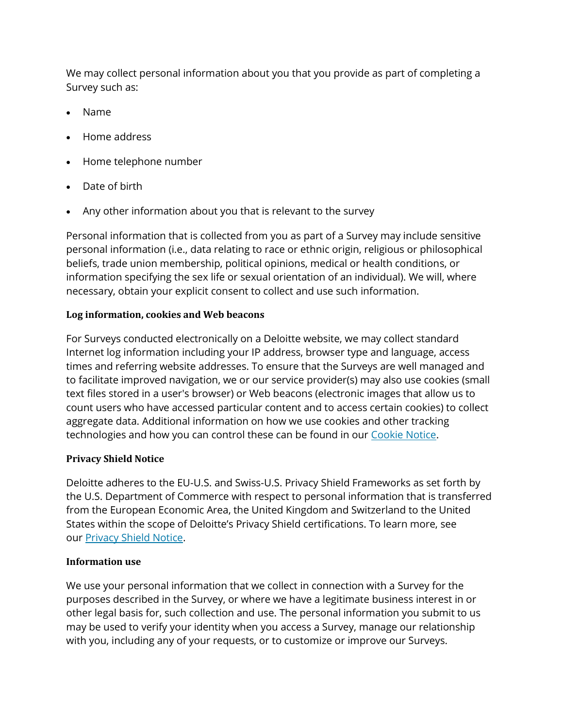We may collect personal information about you that you provide as part of completing a Survey such as:

- Name
- Home address
- Home telephone number
- Date of birth
- Any other information about you that is relevant to the survey

Personal information that is collected from you as part of a Survey may include sensitive personal information (i.e., data relating to race or ethnic origin, religious or philosophical beliefs, trade union membership, political opinions, medical or health conditions, or information specifying the sex life or sexual orientation of an individual). We will, where necessary, obtain your explicit consent to collect and use such information.

## **Log information, cookies and Web beacons**

For Surveys conducted electronically on a Deloitte website, we may collect standard Internet log information including your IP address, browser type and language, access times and referring website addresses. To ensure that the Surveys are well managed and to facilitate improved navigation, we or our service provider(s) may also use cookies (small text files stored in a user's browser) or Web beacons (electronic images that allow us to count users who have accessed particular content and to access certain cookies) to collect aggregate data. Additional information on how we use cookies and other tracking technologies and how you can control these can be found in our [Cookie Notice.](https://preview2.deloitte.com/us/en/legal/cookies.html)

### **Privacy Shield Notice**

Deloitte adheres to the EU-U.S. and Swiss-U.S. Privacy Shield Frameworks as set forth by the U.S. Department of Commerce with respect to personal information that is transferred from the European Economic Area, the United Kingdom and Switzerland to the United States within the scope of Deloitte's Privacy Shield certifications. To learn more, see our [Privacy Shield Notice.](https://preview2.deloitte.com/us/en/legal/privacy-shield.html)

### **Information use**

We use your personal information that we collect in connection with a Survey for the purposes described in the Survey, or where we have a legitimate business interest in or other legal basis for, such collection and use. The personal information you submit to us may be used to verify your identity when you access a Survey, manage our relationship with you, including any of your requests, or to customize or improve our Surveys.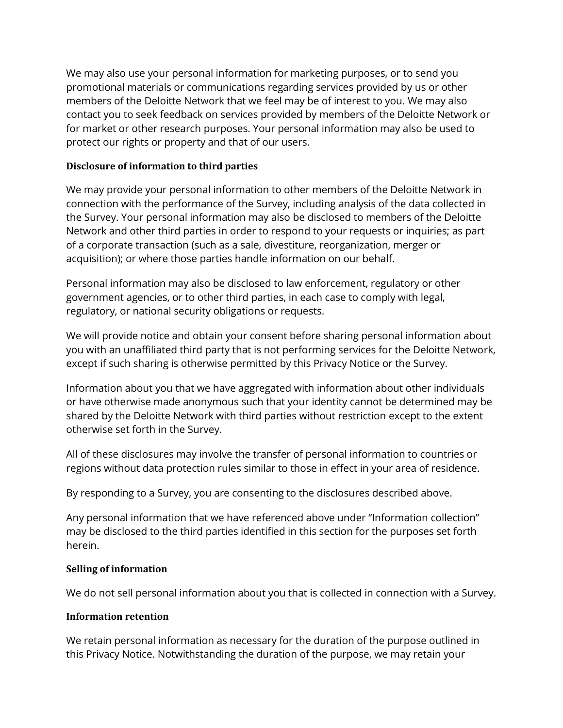We may also use your personal information for marketing purposes, or to send you promotional materials or communications regarding services provided by us or other members of the Deloitte Network that we feel may be of interest to you. We may also contact you to seek feedback on services provided by members of the Deloitte Network or for market or other research purposes. Your personal information may also be used to protect our rights or property and that of our users.

### **Disclosure of information to third parties**

We may provide your personal information to other members of the Deloitte Network in connection with the performance of the Survey, including analysis of the data collected in the Survey. Your personal information may also be disclosed to members of the Deloitte Network and other third parties in order to respond to your requests or inquiries; as part of a corporate transaction (such as a sale, divestiture, reorganization, merger or acquisition); or where those parties handle information on our behalf.

Personal information may also be disclosed to law enforcement, regulatory or other government agencies, or to other third parties, in each case to comply with legal, regulatory, or national security obligations or requests.

We will provide notice and obtain your consent before sharing personal information about you with an unaffiliated third party that is not performing services for the Deloitte Network, except if such sharing is otherwise permitted by this Privacy Notice or the Survey.

Information about you that we have aggregated with information about other individuals or have otherwise made anonymous such that your identity cannot be determined may be shared by the Deloitte Network with third parties without restriction except to the extent otherwise set forth in the Survey.

All of these disclosures may involve the transfer of personal information to countries or regions without data protection rules similar to those in effect in your area of residence.

By responding to a Survey, you are consenting to the disclosures described above.

Any personal information that we have referenced above under "Information collection" may be disclosed to the third parties identified in this section for the purposes set forth herein.

#### **Selling of information**

We do not sell personal information about you that is collected in connection with a Survey.

### **Information retention**

We retain personal information as necessary for the duration of the purpose outlined in this Privacy Notice. Notwithstanding the duration of the purpose, we may retain your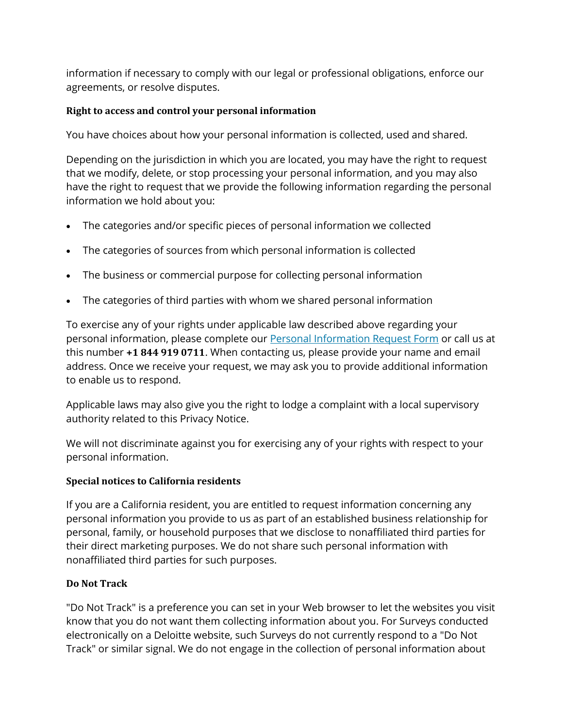information if necessary to comply with our legal or professional obligations, enforce our agreements, or resolve disputes.

## **Right to access and control your personal information**

You have choices about how your personal information is collected, used and shared.

Depending on the jurisdiction in which you are located, you may have the right to request that we modify, delete, or stop processing your personal information, and you may also have the right to request that we provide the following information regarding the personal information we hold about you:

- The categories and/or specific pieces of personal information we collected
- The categories of sources from which personal information is collected
- The business or commercial purpose for collecting personal information
- The categories of third parties with whom we shared personal information

To exercise any of your rights under applicable law described above regarding your personal information, please complete our **[Personal Information Request Form](https://datasubject.deloitte.com/)** or call us at this number **+1 844 919 0711**. When contacting us, please provide your name and email address. Once we receive your request, we may ask you to provide additional information to enable us to respond.

Applicable laws may also give you the right to lodge a complaint with a local supervisory authority related to this Privacy Notice.

We will not discriminate against you for exercising any of your rights with respect to your personal information.

### **Special notices to California residents**

If you are a California resident, you are entitled to request information concerning any personal information you provide to us as part of an established business relationship for personal, family, or household purposes that we disclose to nonaffiliated third parties for their direct marketing purposes. We do not share such personal information with nonaffiliated third parties for such purposes.

# **Do Not Track**

"Do Not Track" is a preference you can set in your Web browser to let the websites you visit know that you do not want them collecting information about you. For Surveys conducted electronically on a Deloitte website, such Surveys do not currently respond to a "Do Not Track" or similar signal. We do not engage in the collection of personal information about